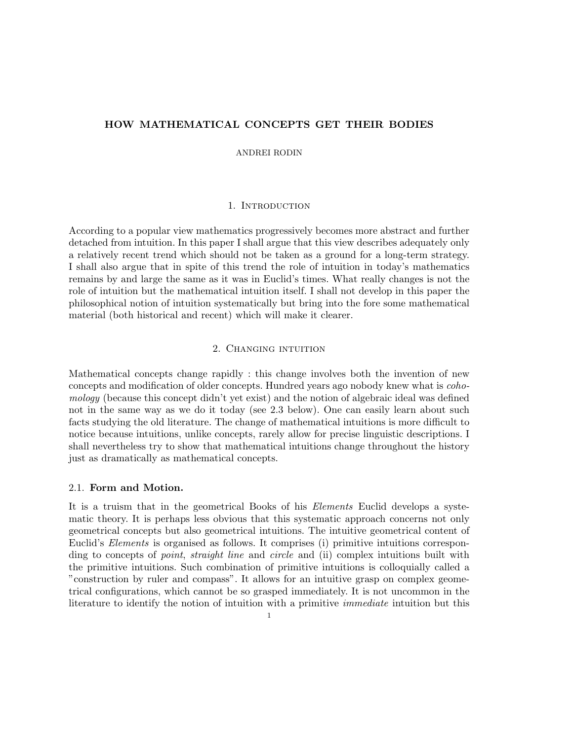# HOW MATHEMATICAL CONCEPTS GET THEIR BODIES

ANDREI RODIN

# 1. INTRODUCTION

According to a popular view mathematics progressively becomes more abstract and further detached from intuition. In this paper I shall argue that this view describes adequately only a relatively recent trend which should not be taken as a ground for a long-term strategy. I shall also argue that in spite of this trend the role of intuition in today's mathematics remains by and large the same as it was in Euclid's times. What really changes is not the role of intuition but the mathematical intuition itself. I shall not develop in this paper the philosophical notion of intuition systematically but bring into the fore some mathematical material (both historical and recent) which will make it clearer.

## 2. Changing intuition

Mathematical concepts change rapidly : this change involves both the invention of new concepts and modification of older concepts. Hundred years ago nobody knew what is cohomology (because this concept didn't yet exist) and the notion of algebraic ideal was defined not in the same way as we do it today (see 2.3 below). One can easily learn about such facts studying the old literature. The change of mathematical intuitions is more difficult to notice because intuitions, unlike concepts, rarely allow for precise linguistic descriptions. I shall nevertheless try to show that mathematical intuitions change throughout the history just as dramatically as mathematical concepts.

### 2.1. Form and Motion.

It is a truism that in the geometrical Books of his Elements Euclid develops a systematic theory. It is perhaps less obvious that this systematic approach concerns not only geometrical concepts but also geometrical intuitions. The intuitive geometrical content of Euclid's Elements is organised as follows. It comprises (i) primitive intuitions corresponding to concepts of *point*, *straight line* and *circle* and (ii) complex intuitions built with the primitive intuitions. Such combination of primitive intuitions is colloquially called a "construction by ruler and compass". It allows for an intuitive grasp on complex geometrical configurations, which cannot be so grasped immediately. It is not uncommon in the literature to identify the notion of intuition with a primitive immediate intuition but this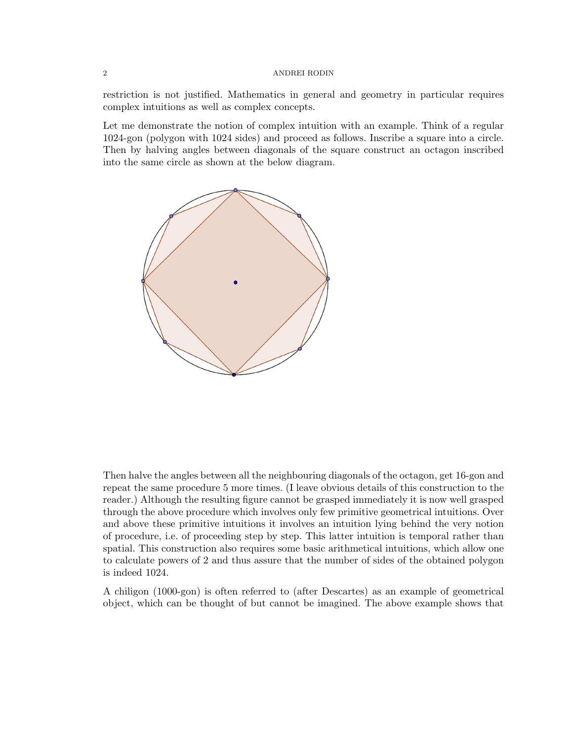restriction is not justified. Mathematics in general and geometry in particular requires complex intuitions as well as complex concepts.

Let me demonstrate the notion of complex intuition with an example. Think of a regular 1024-gon (polygon with 1024 sides) and proceed as follows. Inscribe a square into a circle. Then by halving angles between diagonals of the square construct an octagon inscribed into the same circle as shown at the below diagram.



Then halve the angles between all the neighbouring diagonals of the octagon, get 16-gon and repeat the same procedure 5 more times. (I leave obvious details of this construction to the reader.) Although the resulting figure cannot be grasped immediately it is now well grasped through the above procedure which involves only few primitive geometrical intuitions. Over and above these primitive intuitions it involves an intuition lying behind the very notion of procedure, i.e. of proceeding step by step. This latter intuition is temporal rather than spatial. This construction also requires some basic arithmetical intuitions, which allow one to calculate powers of 2 and thus assure that the number of sides of the obtained polygon is indeed 1024.

A chiligon (1000-gon) is often referred to (after Descartes) as an example of geometrical object, which can be thought of but cannot be imagined. The above example shows that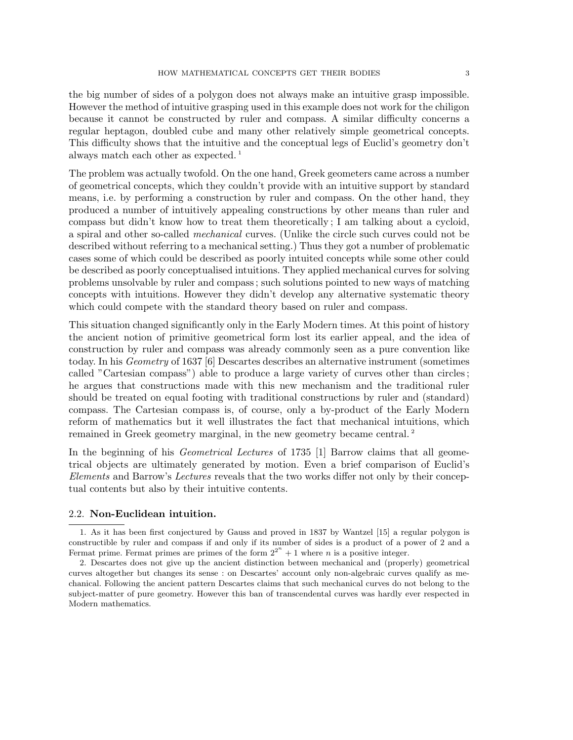the big number of sides of a polygon does not always make an intuitive grasp impossible. However the method of intuitive grasping used in this example does not work for the chiligon because it cannot be constructed by ruler and compass. A similar difficulty concerns a regular heptagon, doubled cube and many other relatively simple geometrical concepts. This difficulty shows that the intuitive and the conceptual legs of Euclid's geometry don't always match each other as expected.<sup>1</sup>

The problem was actually twofold. On the one hand, Greek geometers came across a number of geometrical concepts, which they couldn't provide with an intuitive support by standard means, i.e. by performing a construction by ruler and compass. On the other hand, they produced a number of intuitively appealing constructions by other means than ruler and compass but didn't know how to treat them theoretically ; I am talking about a cycloid, a spiral and other so-called mechanical curves. (Unlike the circle such curves could not be described without referring to a mechanical setting.) Thus they got a number of problematic cases some of which could be described as poorly intuited concepts while some other could be described as poorly conceptualised intuitions. They applied mechanical curves for solving problems unsolvable by ruler and compass ; such solutions pointed to new ways of matching concepts with intuitions. However they didn't develop any alternative systematic theory which could compete with the standard theory based on ruler and compass.

This situation changed significantly only in the Early Modern times. At this point of history the ancient notion of primitive geometrical form lost its earlier appeal, and the idea of construction by ruler and compass was already commonly seen as a pure convention like today. In his Geometry of 1637 [6] Descartes describes an alternative instrument (sometimes called "Cartesian compass") able to produce a large variety of curves other than circles ; he argues that constructions made with this new mechanism and the traditional ruler should be treated on equal footing with traditional constructions by ruler and (standard) compass. The Cartesian compass is, of course, only a by-product of the Early Modern reform of mathematics but it well illustrates the fact that mechanical intuitions, which remained in Greek geometry marginal, in the new geometry became central. <sup>2</sup>

In the beginning of his *Geometrical Lectures* of 1735 [1] Barrow claims that all geometrical objects are ultimately generated by motion. Even a brief comparison of Euclid's Elements and Barrow's Lectures reveals that the two works differ not only by their conceptual contents but also by their intuitive contents.

## 2.2. Non-Euclidean intuition.

1. As it has been first conjectured by Gauss and proved in 1837 by Wantzel [15] a regular polygon is constructible by ruler and compass if and only if its number of sides is a product of a power of 2 and a Fermat prime. Fermat primes are primes of the form  $2^{2^n} + 1$  where n is a positive integer.

2. Descartes does not give up the ancient distinction between mechanical and (properly) geometrical curves altogether but changes its sense : on Descartes' account only non-algebraic curves qualify as mechanical. Following the ancient pattern Descartes claims that such mechanical curves do not belong to the subject-matter of pure geometry. However this ban of transcendental curves was hardly ever respected in Modern mathematics.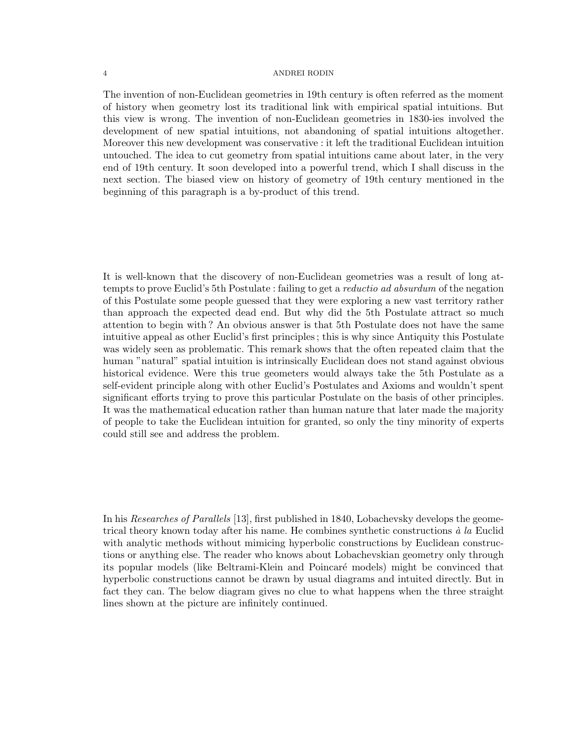The invention of non-Euclidean geometries in 19th century is often referred as the moment of history when geometry lost its traditional link with empirical spatial intuitions. But this view is wrong. The invention of non-Euclidean geometries in 1830-ies involved the development of new spatial intuitions, not abandoning of spatial intuitions altogether. Moreover this new development was conservative : it left the traditional Euclidean intuition untouched. The idea to cut geometry from spatial intuitions came about later, in the very end of 19th century. It soon developed into a powerful trend, which I shall discuss in the next section. The biased view on history of geometry of 19th century mentioned in the beginning of this paragraph is a by-product of this trend.

It is well-known that the discovery of non-Euclidean geometries was a result of long attempts to prove Euclid's 5th Postulate: failing to get a *reductio ad absurdum* of the negation of this Postulate some people guessed that they were exploring a new vast territory rather than approach the expected dead end. But why did the 5th Postulate attract so much attention to begin with ? An obvious answer is that 5th Postulate does not have the same intuitive appeal as other Euclid's first principles ; this is why since Antiquity this Postulate was widely seen as problematic. This remark shows that the often repeated claim that the human "natural" spatial intuition is intrinsically Euclidean does not stand against obvious historical evidence. Were this true geometers would always take the 5th Postulate as a self-evident principle along with other Euclid's Postulates and Axioms and wouldn't spent significant efforts trying to prove this particular Postulate on the basis of other principles. It was the mathematical education rather than human nature that later made the majority of people to take the Euclidean intuition for granted, so only the tiny minority of experts could still see and address the problem.

In his Researches of Parallels [13], first published in 1840, Lobachevsky develops the geometrical theory known today after his name. He combines synthetic constructions  $\dot{a}$  la Euclid with analytic methods without mimicing hyperbolic constructions by Euclidean constructions or anything else. The reader who knows about Lobachevskian geometry only through its popular models (like Beltrami-Klein and Poincaré models) might be convinced that hyperbolic constructions cannot be drawn by usual diagrams and intuited directly. But in fact they can. The below diagram gives no clue to what happens when the three straight lines shown at the picture are infinitely continued.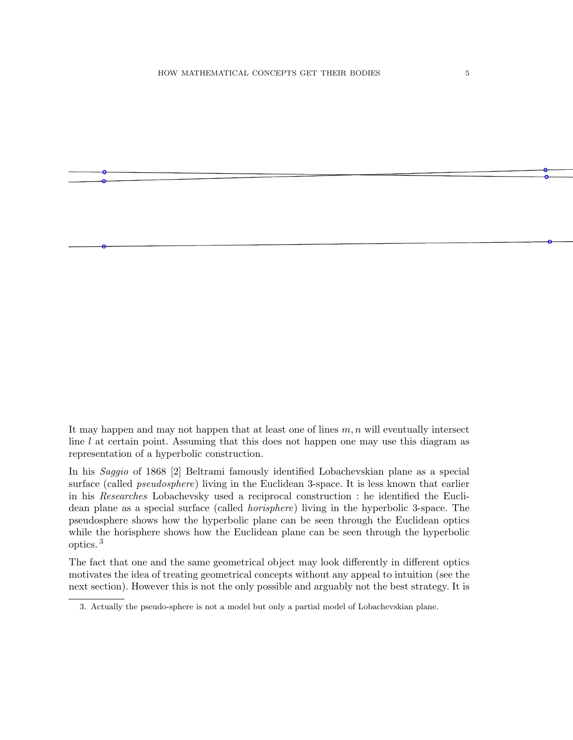It may happen and may not happen that at least one of lines  $m, n$  will eventually intersect line  $l$  at certain point. Assuming that this does not happen one may use this diagram as representation of a hyperbolic construction.

In his Saggio of 1868 [2] Beltrami famously identified Lobachevskian plane as a special surface (called *pseudosphere*) living in the Euclidean 3-space. It is less known that earlier in his Researches Lobachevsky used a reciprocal construction : he identified the Euclidean plane as a special surface (called horisphere) living in the hyperbolic 3-space. The pseudosphere shows how the hyperbolic plane can be seen through the Euclidean optics while the horisphere shows how the Euclidean plane can be seen through the hyperbolic optics. <sup>3</sup>

The fact that one and the same geometrical object may look differently in different optics motivates the idea of treating geometrical concepts without any appeal to intuition (see the next section). However this is not the only possible and arguably not the best strategy. It is

<sup>3.</sup> Actually the pseudo-sphere is not a model but only a partial model of Lobachevskian plane.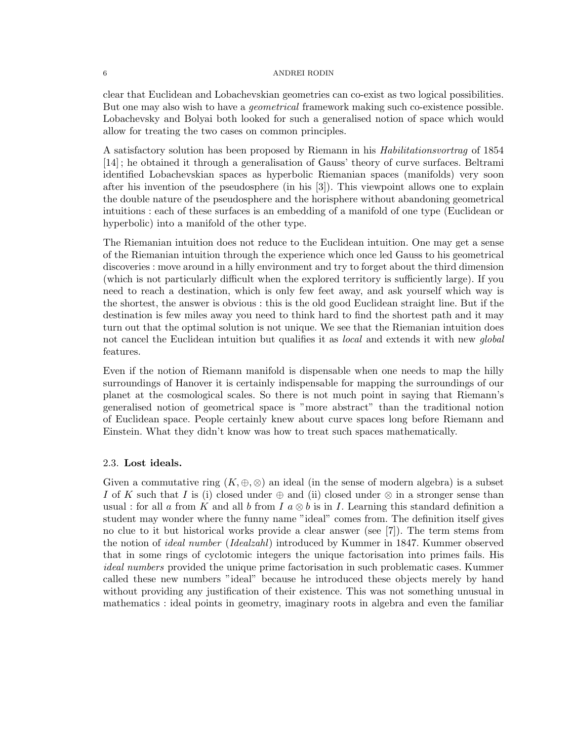clear that Euclidean and Lobachevskian geometries can co-exist as two logical possibilities. But one may also wish to have a *geometrical* framework making such co-existence possible. Lobachevsky and Bolyai both looked for such a generalised notion of space which would allow for treating the two cases on common principles.

A satisfactory solution has been proposed by Riemann in his Habilitationsvortrag of 1854 [14] ; he obtained it through a generalisation of Gauss' theory of curve surfaces. Beltrami identified Lobachevskian spaces as hyperbolic Riemanian spaces (manifolds) very soon after his invention of the pseudosphere (in his [3]). This viewpoint allows one to explain the double nature of the pseudosphere and the horisphere without abandoning geometrical intuitions : each of these surfaces is an embedding of a manifold of one type (Euclidean or hyperbolic) into a manifold of the other type.

The Riemanian intuition does not reduce to the Euclidean intuition. One may get a sense of the Riemanian intuition through the experience which once led Gauss to his geometrical discoveries : move around in a hilly environment and try to forget about the third dimension (which is not particularly difficult when the explored territory is sufficiently large). If you need to reach a destination, which is only few feet away, and ask yourself which way is the shortest, the answer is obvious : this is the old good Euclidean straight line. But if the destination is few miles away you need to think hard to find the shortest path and it may turn out that the optimal solution is not unique. We see that the Riemanian intuition does not cancel the Euclidean intuition but qualifies it as *local* and extends it with new *global* features.

Even if the notion of Riemann manifold is dispensable when one needs to map the hilly surroundings of Hanover it is certainly indispensable for mapping the surroundings of our planet at the cosmological scales. So there is not much point in saying that Riemann's generalised notion of geometrical space is "more abstract" than the traditional notion of Euclidean space. People certainly knew about curve spaces long before Riemann and Einstein. What they didn't know was how to treat such spaces mathematically.

### 2.3. Lost ideals.

Given a commutative ring  $(K, \oplus, \otimes)$  an ideal (in the sense of modern algebra) is a subset I of K such that I is (i) closed under  $oplus$  and (ii) closed under  $\otimes$  in a stronger sense than usual : for all a from K and all b from I  $a \otimes b$  is in I. Learning this standard definition a student may wonder where the funny name "ideal" comes from. The definition itself gives no clue to it but historical works provide a clear answer (see [7]). The term stems from the notion of *ideal number* (*Idealzahl*) introduced by Kummer in 1847. Kummer observed that in some rings of cyclotomic integers the unique factorisation into primes fails. His ideal numbers provided the unique prime factorisation in such problematic cases. Kummer called these new numbers "ideal" because he introduced these objects merely by hand without providing any justification of their existence. This was not something unusual in mathematics : ideal points in geometry, imaginary roots in algebra and even the familiar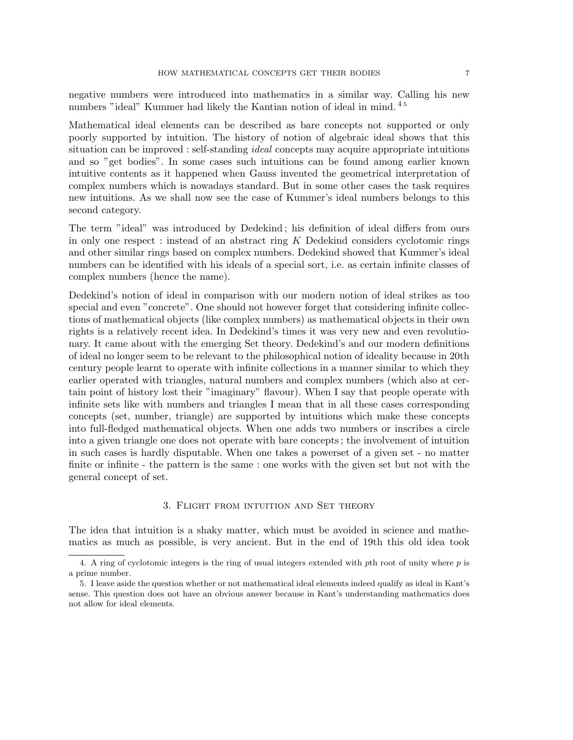negative numbers were introduced into mathematics in a similar way. Calling his new numbers "ideal" Kummer had likely the Kantian notion of ideal in mind.<sup>45</sup>

Mathematical ideal elements can be described as bare concepts not supported or only poorly supported by intuition. The history of notion of algebraic ideal shows that this situation can be improved : self-standing *ideal* concepts may acquire appropriate intuitions and so "get bodies". In some cases such intuitions can be found among earlier known intuitive contents as it happened when Gauss invented the geometrical interpretation of complex numbers which is nowadays standard. But in some other cases the task requires new intuitions. As we shall now see the case of Kummer's ideal numbers belongs to this second category.

The term "ideal" was introduced by Dedekind ; his definition of ideal differs from ours in only one respect : instead of an abstract ring  $K$  Dedekind considers cyclotomic rings and other similar rings based on complex numbers. Dedekind showed that Kummer's ideal numbers can be identified with his ideals of a special sort, i.e. as certain infinite classes of complex numbers (hence the name).

Dedekind's notion of ideal in comparison with our modern notion of ideal strikes as too special and even "concrete". One should not however forget that considering infinite collections of mathematical objects (like complex numbers) as mathematical objects in their own rights is a relatively recent idea. In Dedekind's times it was very new and even revolutionary. It came about with the emerging Set theory. Dedekind's and our modern definitions of ideal no longer seem to be relevant to the philosophical notion of ideality because in 20th century people learnt to operate with infinite collections in a manner similar to which they earlier operated with triangles, natural numbers and complex numbers (which also at certain point of history lost their "imaginary" flavour). When I say that people operate with infinite sets like with numbers and triangles I mean that in all these cases corresponding concepts (set, number, triangle) are supported by intuitions which make these concepts into full-fledged mathematical objects. When one adds two numbers or inscribes a circle into a given triangle one does not operate with bare concepts ; the involvement of intuition in such cases is hardly disputable. When one takes a powerset of a given set - no matter finite or infinite - the pattern is the same : one works with the given set but not with the general concept of set.

#### 3. Flight from intuition and Set theory

The idea that intuition is a shaky matter, which must be avoided in science and mathematics as much as possible, is very ancient. But in the end of 19th this old idea took

<sup>4.</sup> A ring of cyclotomic integers is the ring of usual integers extended with pth root of unity where p is a prime number.

<sup>5.</sup> I leave aside the question whether or not mathematical ideal elements indeed qualify as ideal in Kant's sense. This question does not have an obvious answer because in Kant's understanding mathematics does not allow for ideal elements.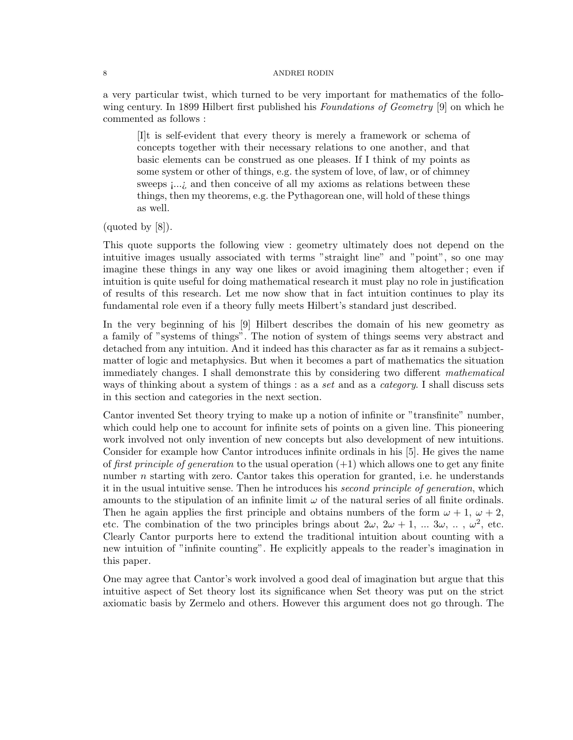a very particular twist, which turned to be very important for mathematics of the following century. In 1899 Hilbert first published his *Foundations of Geometry* [9] on which he commented as follows :

[I]t is self-evident that every theory is merely a framework or schema of concepts together with their necessary relations to one another, and that basic elements can be construed as one pleases. If I think of my points as some system or other of things, e.g. the system of love, of law, or of chimney sweeps  $\dots$ ; and then conceive of all my axioms as relations between these things, then my theorems, e.g. the Pythagorean one, will hold of these things as well.

(quoted by [8]).

This quote supports the following view : geometry ultimately does not depend on the intuitive images usually associated with terms "straight line" and "point", so one may imagine these things in any way one likes or avoid imagining them altogether ; even if intuition is quite useful for doing mathematical research it must play no role in justification of results of this research. Let me now show that in fact intuition continues to play its fundamental role even if a theory fully meets Hilbert's standard just described.

In the very beginning of his [9] Hilbert describes the domain of his new geometry as a family of "systems of things". The notion of system of things seems very abstract and detached from any intuition. And it indeed has this character as far as it remains a subjectmatter of logic and metaphysics. But when it becomes a part of mathematics the situation immediately changes. I shall demonstrate this by considering two different mathematical ways of thinking about a system of things : as a set and as a category. I shall discuss sets in this section and categories in the next section.

Cantor invented Set theory trying to make up a notion of infinite or "transfinite" number, which could help one to account for infinite sets of points on a given line. This pioneering work involved not only invention of new concepts but also development of new intuitions. Consider for example how Cantor introduces infinite ordinals in his [5]. He gives the name of first principle of generation to the usual operation  $(+1)$  which allows one to get any finite number  $n$  starting with zero. Cantor takes this operation for granted, i.e. he understands it in the usual intuitive sense. Then he introduces his second principle of generation, which amounts to the stipulation of an infinite limit  $\omega$  of the natural series of all finite ordinals. Then he again applies the first principle and obtains numbers of the form  $\omega + 1$ ,  $\omega + 2$ , etc. The combination of the two principles brings about  $2\omega$ ,  $2\omega + 1$ , ...  $3\omega$ , ...,  $\omega^2$ , etc. Clearly Cantor purports here to extend the traditional intuition about counting with a new intuition of "infinite counting". He explicitly appeals to the reader's imagination in this paper.

One may agree that Cantor's work involved a good deal of imagination but argue that this intuitive aspect of Set theory lost its significance when Set theory was put on the strict axiomatic basis by Zermelo and others. However this argument does not go through. The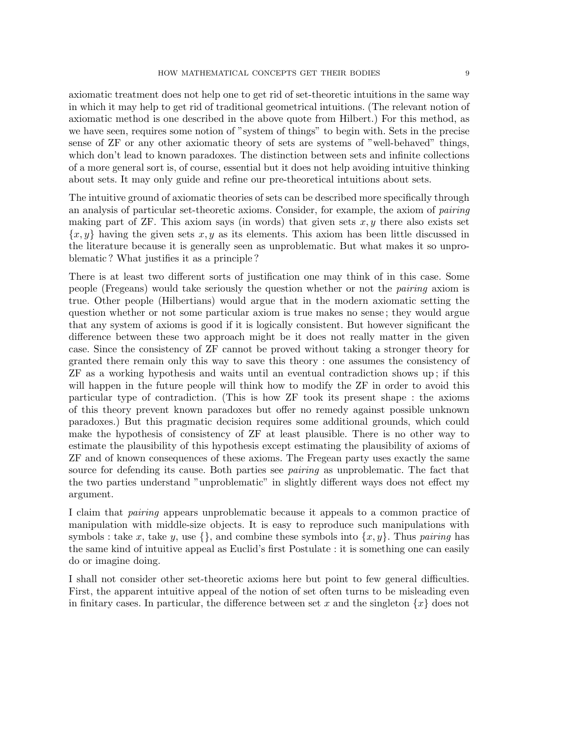axiomatic treatment does not help one to get rid of set-theoretic intuitions in the same way in which it may help to get rid of traditional geometrical intuitions. (The relevant notion of axiomatic method is one described in the above quote from Hilbert.) For this method, as we have seen, requires some notion of "system of things" to begin with. Sets in the precise sense of ZF or any other axiomatic theory of sets are systems of "well-behaved" things, which don't lead to known paradoxes. The distinction between sets and infinite collections of a more general sort is, of course, essential but it does not help avoiding intuitive thinking about sets. It may only guide and refine our pre-theoretical intuitions about sets.

The intuitive ground of axiomatic theories of sets can be described more specifically through an analysis of particular set-theoretic axioms. Consider, for example, the axiom of pairing making part of  $\overline{ZF}$ . This axiom says (in words) that given sets x, y there also exists set  $\{x, y\}$  having the given sets  $x, y$  as its elements. This axiom has been little discussed in the literature because it is generally seen as unproblematic. But what makes it so unproblematic ? What justifies it as a principle ?

There is at least two different sorts of justification one may think of in this case. Some people (Fregeans) would take seriously the question whether or not the pairing axiom is true. Other people (Hilbertians) would argue that in the modern axiomatic setting the question whether or not some particular axiom is true makes no sense ; they would argue that any system of axioms is good if it is logically consistent. But however significant the difference between these two approach might be it does not really matter in the given case. Since the consistency of ZF cannot be proved without taking a stronger theory for granted there remain only this way to save this theory : one assumes the consistency of ZF as a working hypothesis and waits until an eventual contradiction shows up ; if this will happen in the future people will think how to modify the ZF in order to avoid this particular type of contradiction. (This is how ZF took its present shape : the axioms of this theory prevent known paradoxes but offer no remedy against possible unknown paradoxes.) But this pragmatic decision requires some additional grounds, which could make the hypothesis of consistency of ZF at least plausible. There is no other way to estimate the plausibility of this hypothesis except estimating the plausibility of axioms of ZF and of known consequences of these axioms. The Fregean party uses exactly the same source for defending its cause. Both parties see *pairing* as unproblematic. The fact that the two parties understand "unproblematic" in slightly different ways does not effect my argument.

I claim that pairing appears unproblematic because it appeals to a common practice of manipulation with middle-size objects. It is easy to reproduce such manipulations with symbols : take x, take y, use  $\{\}$ , and combine these symbols into  $\{x, y\}$ . Thus pairing has the same kind of intuitive appeal as Euclid's first Postulate : it is something one can easily do or imagine doing.

I shall not consider other set-theoretic axioms here but point to few general difficulties. First, the apparent intuitive appeal of the notion of set often turns to be misleading even in finitary cases. In particular, the difference between set x and the singleton  $\{x\}$  does not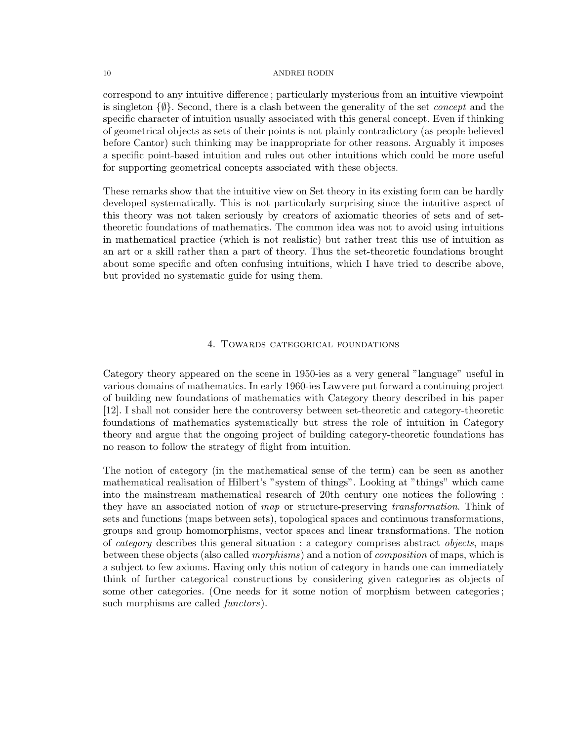correspond to any intuitive difference ; particularly mysterious from an intuitive viewpoint is singleton  $\{\emptyset\}$ . Second, there is a clash between the generality of the set *concept* and the specific character of intuition usually associated with this general concept. Even if thinking of geometrical objects as sets of their points is not plainly contradictory (as people believed before Cantor) such thinking may be inappropriate for other reasons. Arguably it imposes a specific point-based intuition and rules out other intuitions which could be more useful for supporting geometrical concepts associated with these objects.

These remarks show that the intuitive view on Set theory in its existing form can be hardly developed systematically. This is not particularly surprising since the intuitive aspect of this theory was not taken seriously by creators of axiomatic theories of sets and of settheoretic foundations of mathematics. The common idea was not to avoid using intuitions in mathematical practice (which is not realistic) but rather treat this use of intuition as an art or a skill rather than a part of theory. Thus the set-theoretic foundations brought about some specific and often confusing intuitions, which I have tried to describe above, but provided no systematic guide for using them.

## 4. Towards categorical foundations

Category theory appeared on the scene in 1950-ies as a very general "language" useful in various domains of mathematics. In early 1960-ies Lawvere put forward a continuing project of building new foundations of mathematics with Category theory described in his paper [12]. I shall not consider here the controversy between set-theoretic and category-theoretic foundations of mathematics systematically but stress the role of intuition in Category theory and argue that the ongoing project of building category-theoretic foundations has no reason to follow the strategy of flight from intuition.

The notion of category (in the mathematical sense of the term) can be seen as another mathematical realisation of Hilbert's "system of things". Looking at "things" which came into the mainstream mathematical research of 20th century one notices the following : they have an associated notion of map or structure-preserving transformation. Think of sets and functions (maps between sets), topological spaces and continuous transformations, groups and group homomorphisms, vector spaces and linear transformations. The notion of *category* describes this general situation : a category comprises abstract *objects*, maps between these objects (also called morphisms) and a notion of composition of maps, which is a subject to few axioms. Having only this notion of category in hands one can immediately think of further categorical constructions by considering given categories as objects of some other categories. (One needs for it some notion of morphism between categories ; such morphisms are called *functors*).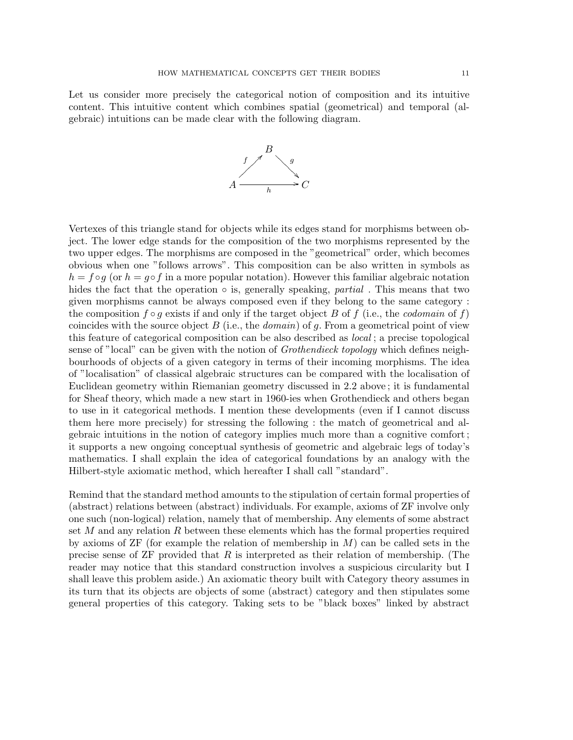Let us consider more precisely the categorical notion of composition and its intuitive content. This intuitive content which combines spatial (geometrical) and temporal (algebraic) intuitions can be made clear with the following diagram.



Vertexes of this triangle stand for objects while its edges stand for morphisms between object. The lower edge stands for the composition of the two morphisms represented by the two upper edges. The morphisms are composed in the "geometrical" order, which becomes obvious when one "follows arrows". This composition can be also written in symbols as  $h = f \circ q$  (or  $h = q \circ f$  in a more popular notation). However this familiar algebraic notation hides the fact that the operation  $\circ$  is, generally speaking, partial. This means that two given morphisms cannot be always composed even if they belong to the same category : the composition  $f \circ g$  exists if and only if the target object B of f (i.e., the *codomain* of f) coincides with the source object  $B$  (i.e., the *domain*) of g. From a geometrical point of view this feature of categorical composition can be also described as local ; a precise topological sense of "local" can be given with the notion of *Grothendieck topology* which defines neighbourhoods of objects of a given category in terms of their incoming morphisms. The idea of "localisation" of classical algebraic structures can be compared with the localisation of Euclidean geometry within Riemanian geometry discussed in 2.2 above ; it is fundamental for Sheaf theory, which made a new start in 1960-ies when Grothendieck and others began to use in it categorical methods. I mention these developments (even if I cannot discuss them here more precisely) for stressing the following : the match of geometrical and algebraic intuitions in the notion of category implies much more than a cognitive comfort ; it supports a new ongoing conceptual synthesis of geometric and algebraic legs of today's mathematics. I shall explain the idea of categorical foundations by an analogy with the Hilbert-style axiomatic method, which hereafter I shall call "standard".

Remind that the standard method amounts to the stipulation of certain formal properties of (abstract) relations between (abstract) individuals. For example, axioms of ZF involve only one such (non-logical) relation, namely that of membership. Any elements of some abstract set  $M$  and any relation  $R$  between these elements which has the formal properties required by axioms of  $\rm{ZF}$  (for example the relation of membership in  $M$ ) can be called sets in the precise sense of ZF provided that R is interpreted as their relation of membership. (The reader may notice that this standard construction involves a suspicious circularity but I shall leave this problem aside.) An axiomatic theory built with Category theory assumes in its turn that its objects are objects of some (abstract) category and then stipulates some general properties of this category. Taking sets to be "black boxes" linked by abstract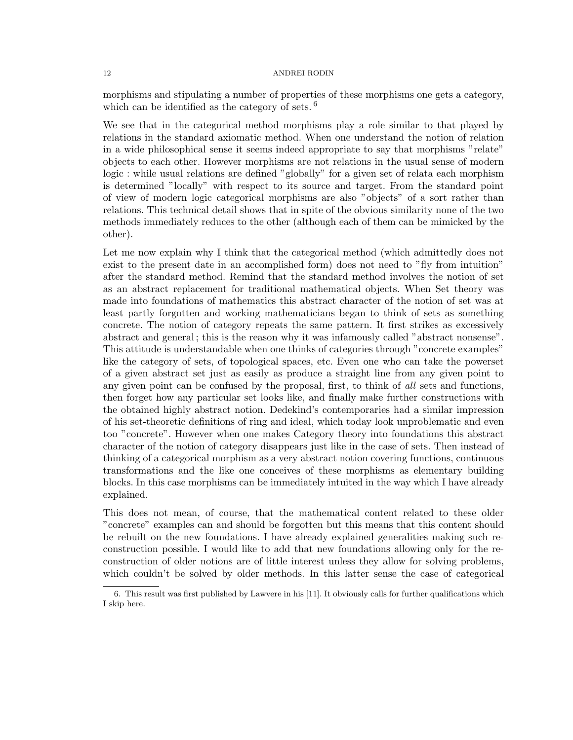morphisms and stipulating a number of properties of these morphisms one gets a category, which can be identified as the category of sets.  $6$ 

We see that in the categorical method morphisms play a role similar to that played by relations in the standard axiomatic method. When one understand the notion of relation in a wide philosophical sense it seems indeed appropriate to say that morphisms "relate" objects to each other. However morphisms are not relations in the usual sense of modern logic : while usual relations are defined "globally" for a given set of relata each morphism is determined "locally" with respect to its source and target. From the standard point of view of modern logic categorical morphisms are also "objects" of a sort rather than relations. This technical detail shows that in spite of the obvious similarity none of the two methods immediately reduces to the other (although each of them can be mimicked by the other).

Let me now explain why I think that the categorical method (which admittedly does not exist to the present date in an accomplished form) does not need to "fly from intuition" after the standard method. Remind that the standard method involves the notion of set as an abstract replacement for traditional mathematical objects. When Set theory was made into foundations of mathematics this abstract character of the notion of set was at least partly forgotten and working mathematicians began to think of sets as something concrete. The notion of category repeats the same pattern. It first strikes as excessively abstract and general ; this is the reason why it was infamously called "abstract nonsense". This attitude is understandable when one thinks of categories through "concrete examples" like the category of sets, of topological spaces, etc. Even one who can take the powerset of a given abstract set just as easily as produce a straight line from any given point to any given point can be confused by the proposal, first, to think of all sets and functions, then forget how any particular set looks like, and finally make further constructions with the obtained highly abstract notion. Dedekind's contemporaries had a similar impression of his set-theoretic definitions of ring and ideal, which today look unproblematic and even too "concrete". However when one makes Category theory into foundations this abstract character of the notion of category disappears just like in the case of sets. Then instead of thinking of a categorical morphism as a very abstract notion covering functions, continuous transformations and the like one conceives of these morphisms as elementary building blocks. In this case morphisms can be immediately intuited in the way which I have already explained.

This does not mean, of course, that the mathematical content related to these older "concrete" examples can and should be forgotten but this means that this content should be rebuilt on the new foundations. I have already explained generalities making such reconstruction possible. I would like to add that new foundations allowing only for the reconstruction of older notions are of little interest unless they allow for solving problems, which couldn't be solved by older methods. In this latter sense the case of categorical

<sup>6.</sup> This result was first published by Lawvere in his [11]. It obviously calls for further qualifications which I skip here.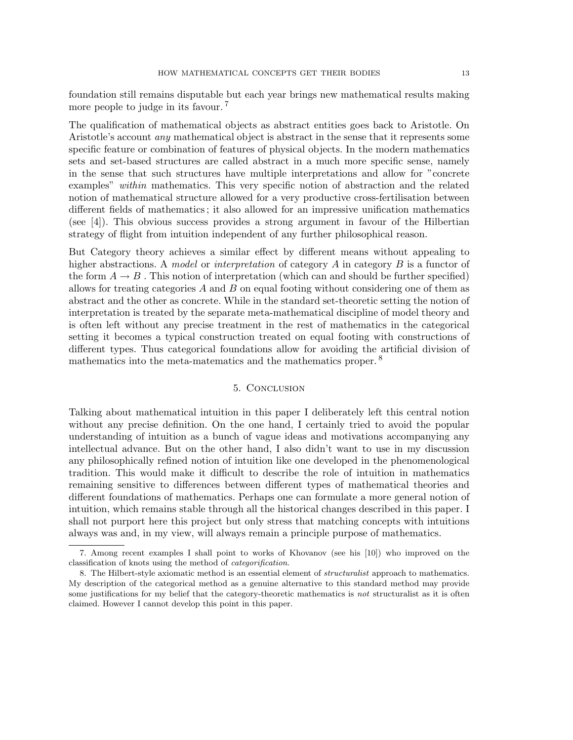foundation still remains disputable but each year brings new mathematical results making more people to judge in its favour.<sup>7</sup>

The qualification of mathematical objects as abstract entities goes back to Aristotle. On Aristotle's account *any* mathematical object is abstract in the sense that it represents some specific feature or combination of features of physical objects. In the modern mathematics sets and set-based structures are called abstract in a much more specific sense, namely in the sense that such structures have multiple interpretations and allow for "concrete examples" within mathematics. This very specific notion of abstraction and the related notion of mathematical structure allowed for a very productive cross-fertilisation between different fields of mathematics ; it also allowed for an impressive unification mathematics (see [4]). This obvious success provides a strong argument in favour of the Hilbertian strategy of flight from intuition independent of any further philosophical reason.

But Category theory achieves a similar effect by different means without appealing to higher abstractions. A model or interpretation of category  $A$  in category  $B$  is a functor of the form  $A \rightarrow B$ . This notion of interpretation (which can and should be further specified) allows for treating categories  $A$  and  $B$  on equal footing without considering one of them as abstract and the other as concrete. While in the standard set-theoretic setting the notion of interpretation is treated by the separate meta-mathematical discipline of model theory and is often left without any precise treatment in the rest of mathematics in the categorical setting it becomes a typical construction treated on equal footing with constructions of different types. Thus categorical foundations allow for avoiding the artificial division of mathematics into the meta-matematics and the mathematics proper.<sup>8</sup>

### 5. Conclusion

Talking about mathematical intuition in this paper I deliberately left this central notion without any precise definition. On the one hand, I certainly tried to avoid the popular understanding of intuition as a bunch of vague ideas and motivations accompanying any intellectual advance. But on the other hand, I also didn't want to use in my discussion any philosophically refined notion of intuition like one developed in the phenomenological tradition. This would make it difficult to describe the role of intuition in mathematics remaining sensitive to differences between different types of mathematical theories and different foundations of mathematics. Perhaps one can formulate a more general notion of intuition, which remains stable through all the historical changes described in this paper. I shall not purport here this project but only stress that matching concepts with intuitions always was and, in my view, will always remain a principle purpose of mathematics.

<sup>7.</sup> Among recent examples I shall point to works of Khovanov (see his [10]) who improved on the classification of knots using the method of categorification.

<sup>8.</sup> The Hilbert-style axiomatic method is an essential element of structuralist approach to mathematics. My description of the categorical method as a genuine alternative to this standard method may provide some justifications for my belief that the category-theoretic mathematics is not structuralist as it is often claimed. However I cannot develop this point in this paper.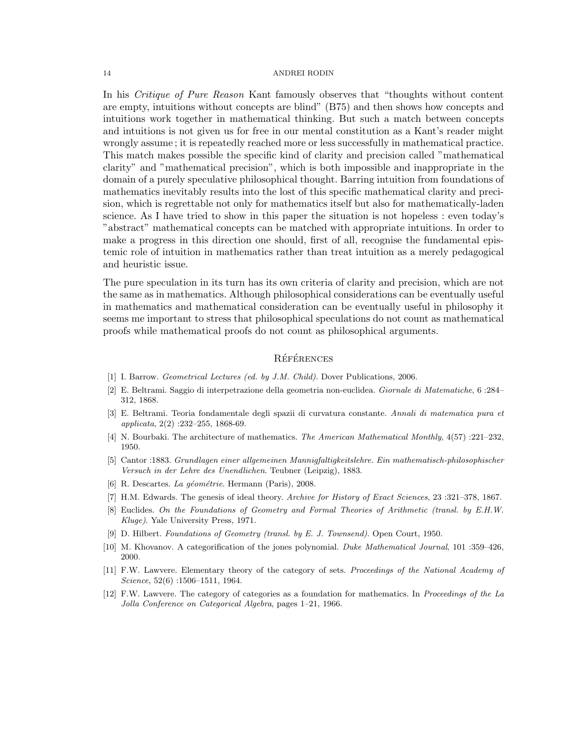In his Critique of Pure Reason Kant famously observes that "thoughts without content are empty, intuitions without concepts are blind" (B75) and then shows how concepts and intuitions work together in mathematical thinking. But such a match between concepts and intuitions is not given us for free in our mental constitution as a Kant's reader might wrongly assume ; it is repeatedly reached more or less successfully in mathematical practice. This match makes possible the specific kind of clarity and precision called "mathematical clarity" and "mathematical precision", which is both impossible and inappropriate in the domain of a purely speculative philosophical thought. Barring intuition from foundations of mathematics inevitably results into the lost of this specific mathematical clarity and precision, which is regrettable not only for mathematics itself but also for mathematically-laden science. As I have tried to show in this paper the situation is not hopeless : even today's "abstract" mathematical concepts can be matched with appropriate intuitions. In order to make a progress in this direction one should, first of all, recognise the fundamental epistemic role of intuition in mathematics rather than treat intuition as a merely pedagogical and heuristic issue.

The pure speculation in its turn has its own criteria of clarity and precision, which are not the same as in mathematics. Although philosophical considerations can be eventually useful in mathematics and mathematical consideration can be eventually useful in philosophy it seems me important to stress that philosophical speculations do not count as mathematical proofs while mathematical proofs do not count as philosophical arguments.

## **RÉFÉRENCES**

- [1] I. Barrow. Geometrical Lectures (ed. by J.M. Child). Dover Publications, 2006.
- [2] E. Beltrami. Saggio di interpetrazione della geometria non-euclidea. Giornale di Matematiche, 6 :284– 312, 1868.
- [3] E. Beltrami. Teoria fondamentale degli spazii di curvatura constante. Annali di matematica pura et applicata, 2(2) :232–255, 1868-69.
- [4] N. Bourbaki. The architecture of mathematics. The American Mathematical Monthly, 4(57) :221–232, 1950.
- [5] Cantor :1883. Grundlagen einer allgemeinen Mannigfaltigkeitslehre. Ein mathematisch-philosophischer Versuch in der Lehre des Unendlichen. Teubner (Leipzig), 1883.
- [6] R. Descartes. La géométrie. Hermann (Paris), 2008.
- [7] H.M. Edwards. The genesis of ideal theory. Archive for History of Exact Sciences, 23 :321–378, 1867.
- [8] Euclides. On the Foundations of Geometry and Formal Theories of Arithmetic (transl. by E.H.W. Kluge). Yale University Press, 1971.
- [9] D. Hilbert. Foundations of Geometry (transl. by E. J. Townsend). Open Court, 1950.
- [10] M. Khovanov. A categorification of the jones polynomial. Duke Mathematical Journal, 101 :359–426, 2000.
- [11] F.W. Lawvere. Elementary theory of the category of sets. Proceedings of the National Academy of Science, 52(6) :1506–1511, 1964.
- [12] F.W. Lawvere. The category of categories as a foundation for mathematics. In Proceedings of the La Jolla Conference on Categorical Algebra, pages 1–21, 1966.